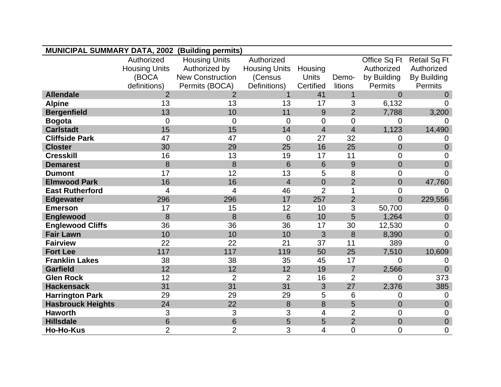| <b>MUNICIPAL SUMMARY DATA, 2002 (Building permits)</b> |                      |                         |                      |                |                |                |                     |
|--------------------------------------------------------|----------------------|-------------------------|----------------------|----------------|----------------|----------------|---------------------|
|                                                        | Authorized           | <b>Housing Units</b>    | Authorized           |                |                | Office Sq Ft   | <b>Retail Sq Ft</b> |
|                                                        | <b>Housing Units</b> | Authorized by           | <b>Housing Units</b> | Housing        |                | Authorized     | Authorized          |
|                                                        | (BOCA                | <b>New Construction</b> | (Census              | <b>Units</b>   | Demo-          | by Building    | By Building         |
|                                                        | definitions)         | Permits (BOCA)          | Definitions)         | Certified      | litions        | <b>Permits</b> | <b>Permits</b>      |
| <b>Allendale</b>                                       | 2                    | $\overline{2}$          | 1                    | 41             | $\mathbf{1}$   | $\Omega$       | $\Omega$            |
| <b>Alpine</b>                                          | 13                   | 13                      | 13                   | 17             | 3              | 6,132          | 0                   |
| <b>Bergenfield</b>                                     | 13                   | 10                      | 11                   | 9              | $\overline{2}$ | 7,788          | 3,200               |
| <b>Bogota</b>                                          | $\mathbf 0$          | $\overline{0}$          | 0                    | $\overline{0}$ | $\overline{0}$ | $\Omega$       | 0                   |
| <b>Carlstadt</b>                                       | 15                   | 15                      | 14                   | $\overline{4}$ | $\overline{4}$ | 1,123          | 14,490              |
| <b>Cliffside Park</b>                                  | 47                   | 47                      | 0                    | 27             | 32             | $\Omega$       | 0                   |
| <b>Closter</b>                                         | 30                   | 29                      | 25                   | 16             | 25             | $\overline{0}$ | $\overline{0}$      |
| <b>Cresskill</b>                                       | 16                   | 13                      | 19                   | 17             | 11             | $\overline{0}$ | $\overline{0}$      |
| <b>Demarest</b>                                        | 8                    | 8                       | 6                    | 6              | 9              | $\overline{0}$ | $\overline{0}$      |
| <b>Dumont</b>                                          | 17                   | 12                      | 13                   | 5              | 8              | $\overline{0}$ | $\Omega$            |
| <b>Elmwood Park</b>                                    | 16                   | 16                      | $\overline{4}$       | $\overline{0}$ | $\overline{2}$ | $\overline{0}$ | 47,760              |
| <b>East Rutherford</b>                                 | $\overline{4}$       | $\overline{4}$          | 46                   | $\overline{2}$ | 1              | $\overline{0}$ | $\mathbf 0$         |
| <b>Edgewater</b>                                       | 296                  | 296                     | 17                   | 257            | $\overline{2}$ | $\overline{0}$ | 229,556             |
| <b>Emerson</b>                                         | 17                   | 15                      | 12                   | 10             | 3              | 50,700         | 0                   |
| <b>Englewood</b>                                       | 8                    | 8                       | 6                    | 10             | 5              | 1,264          | $\overline{0}$      |
| <b>Englewood Cliffs</b>                                | 36                   | 36                      | 36                   | 17             | 30             | 12,530         | $\mathbf 0$         |
| <b>Fair Lawn</b>                                       | 10                   | 10                      | 10                   | 3              | 8              | 8,390          | $\overline{0}$      |
| <b>Fairview</b>                                        | 22                   | 22                      | 21                   | 37             | 11             | 389            | 0                   |
| <b>Fort Lee</b>                                        | 117                  | 117                     | 119                  | 50             | 25             | 7,510          | 10,609              |
| <b>Franklin Lakes</b>                                  | 38                   | 38                      | 35                   | 45             | 17             | $\mathbf 0$    | 0                   |
| <b>Garfield</b>                                        | 12                   | 12                      | 12                   | 19             | $\overline{7}$ | 2,566          | $\overline{0}$      |
| <b>Glen Rock</b>                                       | 12                   | $\overline{2}$          | $\overline{2}$       | 16             | $\overline{2}$ | $\overline{0}$ | 373                 |
| <b>Hackensack</b>                                      | 31                   | 31                      | 31                   | 3              | 27             | 2,376          | 385                 |
| <b>Harrington Park</b>                                 | 29                   | 29                      | 29                   | 5              | 6              | $\overline{0}$ | $\overline{0}$      |
| <b>Hasbrouck Heights</b>                               | 24                   | 22                      | 8                    | 8              | 5              | $\overline{0}$ | $\overline{0}$      |
| <b>Haworth</b>                                         | 3                    | 3                       | 3                    | 4              | $\overline{2}$ | $\overline{0}$ | $\mathbf 0$         |
| <b>Hillsdale</b>                                       | 6                    | 6                       | 5                    | 5              | $\overline{2}$ | $\overline{0}$ | $\mathbf 0$         |
| <b>Ho-Ho-Kus</b>                                       | $\overline{2}$       | $\overline{2}$          | 3                    | 4              | $\overline{0}$ | 0              | $\overline{0}$      |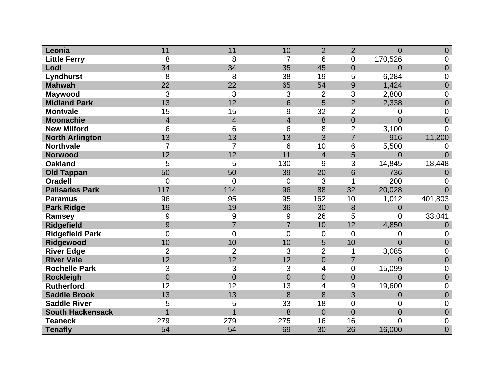| Leonia                  | 11             | 11             | 10             | $\overline{2}$ | $\overline{2}$ | $\overline{0}$ | $\mathbf 0$      |
|-------------------------|----------------|----------------|----------------|----------------|----------------|----------------|------------------|
| <b>Little Ferry</b>     | 8              | 8              | 7              | 6              | $\overline{0}$ | 170,526        | 0                |
| Lodi                    | 34             | 34             | 35             | 45             | 0              | $\overline{0}$ | $\overline{0}$   |
| <b>Lyndhurst</b>        | 8              | 8              | 38             | 19             | 5              | 6,284          | $\mathbf 0$      |
| <b>Mahwah</b>           | 22             | 22             | 65             | 54             | 9              | 1,424          | $\overline{0}$   |
| <b>Maywood</b>          | 3              | 3              | 3              | $\overline{2}$ | 3              | 2,800          | $\mathbf 0$      |
| <b>Midland Park</b>     | 13             | 12             | 6              | 5              | $\overline{2}$ | 2,338          | $\overline{0}$   |
| <b>Montvale</b>         | 15             | 15             | 9              | 32             | $\overline{2}$ | 0              | $\overline{0}$   |
| <b>Moonachie</b>        | $\overline{4}$ | $\overline{4}$ | $\overline{4}$ | 8              | $\mathbf 0$    | $\overline{0}$ | $\overline{0}$   |
| <b>New Milford</b>      | 6              | 6              | 6              | 8              | $\overline{2}$ | 3,100          | $\overline{0}$   |
| <b>North Arlington</b>  | 13             | 13             | 13             | 3              | 7              | 916            | 11,200           |
| <b>Northvale</b>        | $\overline{7}$ | $\overline{7}$ | 6              | 10             | 6              | 5,500          | 0                |
| <b>Norwood</b>          | 12             | 12             | 11             | $\overline{4}$ | 5              | $\overline{0}$ | $\Omega$         |
| <b>Oakland</b>          | 5              | 5              | 130            | 9              | 3              | 14,845         | 18,448           |
| <b>Old Tappan</b>       | 50             | 50             | 39             | 20             | 6              | 736            | $\Omega$         |
| <b>Oradell</b>          | $\overline{0}$ | $\overline{0}$ | $\overline{0}$ | 3              | 1              | 200            | 0                |
| <b>Palisades Park</b>   | 117            | 114            | 96             | 88             | 32             | 20,028         | $\overline{0}$   |
| <b>Paramus</b>          | 96             | 95             | 95             | 162            | 10             | 1,012          | 401,803          |
| <b>Park Ridge</b>       | 19             | 19             | 36             | 30             | 8              | $\mathbf 0$    | $\Omega$         |
| Ramsey                  | 9              | 9              | 9              | 26             | 5              | 0              | 33,041           |
| <b>Ridgefield</b>       | 9              | $\overline{7}$ | $\overline{7}$ | 10             | 12             | 4,850          | 0                |
| <b>Ridgefield Park</b>  | $\overline{0}$ | $\overline{0}$ | $\overline{0}$ | $\overline{0}$ | $\overline{0}$ | $\overline{0}$ | $\mathbf 0$      |
| Ridgewood               | 10             | 10             | 10             | 5              | 10             | $\overline{0}$ | $\overline{0}$   |
| <b>River Edge</b>       | $\overline{2}$ | $\overline{2}$ | 3              | $\overline{2}$ | 1              | 3,085          | 0                |
| <b>River Vale</b>       | 12             | 12             | 12             | $\mathbf 0$    | $\overline{7}$ | $\overline{0}$ | $\boldsymbol{0}$ |
| <b>Rochelle Park</b>    | 3              | 3              | 3              | 4              | 0              | 15,099         | $\mathbf 0$      |
| <b>Rockleigh</b>        | $\overline{0}$ | $\overline{0}$ | $\overline{0}$ | $\overline{0}$ | $\overline{0}$ | $\overline{0}$ | $\overline{0}$   |
| <b>Rutherford</b>       | 12             | 12             | 13             | 4              | 9              | 19,600         | 0                |
| <b>Saddle Brook</b>     | 13             | 13             | 8              | 8              | 3              | $\overline{0}$ | $\boldsymbol{0}$ |
| <b>Saddle River</b>     | 5              | 5              | 33             | 18             | 0              | $\overline{0}$ | $\mathbf 0$      |
| <b>South Hackensack</b> |                |                | 8              | $\overline{0}$ | $\overline{0}$ | $\overline{0}$ | $\mathbf 0$      |
| <b>Teaneck</b>          | 279            | 279            | 275            | 16             | 16             | $\overline{0}$ | $\mathbf 0$      |
| <b>Tenafly</b>          | 54             | 54             | 69             | 30             | 26             | 16,000         | $\overline{0}$   |